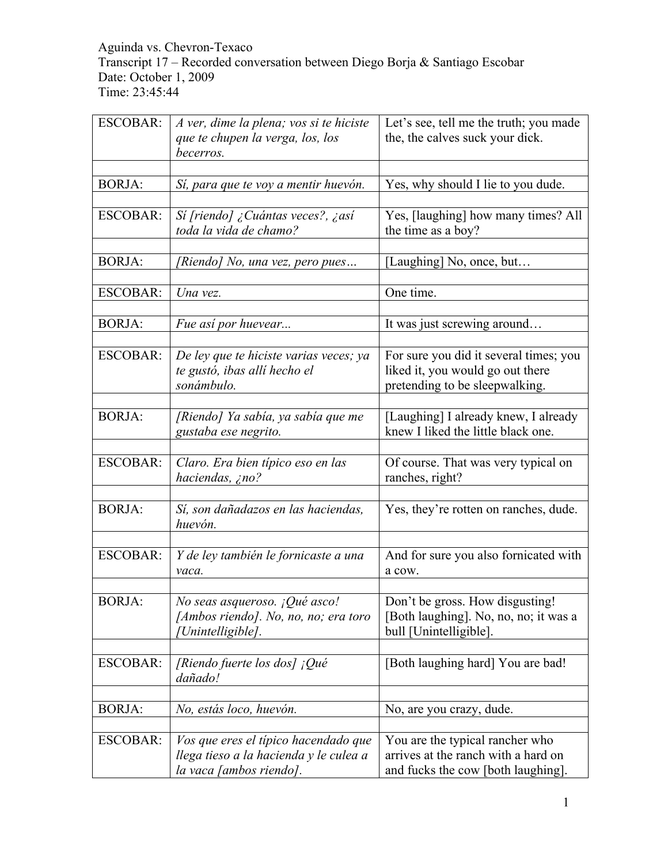## Aguinda vs. Chevron-Texaco Transcript 17 – Recorded conversation between Diego Borja & Santiago Escobar Date: October 1, 2009 Time: 23:45:44

| <b>ESCOBAR:</b> | A ver, dime la plena; vos si te hiciste    | Let's see, tell me the truth; you made |
|-----------------|--------------------------------------------|----------------------------------------|
|                 | que te chupen la verga, los, los           | the, the calves suck your dick.        |
|                 | becerros.                                  |                                        |
|                 |                                            |                                        |
| <b>BORJA:</b>   | Sí, para que te voy a mentir huevón.       | Yes, why should I lie to you dude.     |
|                 |                                            |                                        |
| <b>ESCOBAR:</b> | Sí [riendo] ¿Cuántas veces?, ¿así          | Yes, [laughing] how many times? All    |
|                 | toda la vida de chamo?                     | the time as a boy?                     |
|                 |                                            |                                        |
| <b>BORJA:</b>   | [Riendo] No, una vez, pero pues            | [Laughing] No, once, but               |
|                 |                                            |                                        |
| <b>ESCOBAR:</b> | Una vez.                                   | One time.                              |
|                 |                                            |                                        |
| <b>BORJA:</b>   | Fue así por huevear                        | It was just screwing around            |
|                 |                                            |                                        |
| <b>ESCOBAR:</b> | De ley que te hiciste varias veces; ya     | For sure you did it several times; you |
|                 | te gustó, ibas allí hecho el<br>sonámbulo. | liked it, you would go out there       |
|                 |                                            | pretending to be sleepwalking.         |
| <b>BORJA:</b>   | [Riendo] Ya sabía, ya sabía que me         | [Laughing] I already knew, I already   |
|                 | gustaba ese negrito.                       | knew I liked the little black one.     |
|                 |                                            |                                        |
| <b>ESCOBAR:</b> | Claro. Era bien típico eso en las          | Of course. That was very typical on    |
|                 | haciendas, ¿no?                            | ranches, right?                        |
|                 |                                            |                                        |
| <b>BORJA:</b>   | Sí, son dañadazos en las haciendas,        | Yes, they're rotten on ranches, dude.  |
|                 | huevón.                                    |                                        |
|                 |                                            |                                        |
| <b>ESCOBAR:</b> | Y de ley también le fornicaste a una       | And for sure you also fornicated with  |
|                 | vaca.                                      | a cow.                                 |
|                 |                                            |                                        |
| <b>BORJA:</b>   | No seas asqueroso. ¡Qué asco!              | Don't be gross. How disgusting!        |
|                 | [Ambos riendo]. No, no, no; era toro       | [Both laughing]. No, no, no; it was a  |
|                 | Unintelligible].                           | bull [Unintelligible].                 |
|                 |                                            |                                        |
| <b>ESCOBAR:</b> | [Riendo fuerte los dos] ¡Qué               | [Both laughing hard] You are bad!      |
|                 | dañado!                                    |                                        |
|                 |                                            |                                        |
| <b>BORJA:</b>   | No, estás loco, huevón.                    | No, are you crazy, dude.               |
|                 |                                            |                                        |
| <b>ESCOBAR:</b> | Vos que eres el típico hacendado que       | You are the typical rancher who        |
|                 | llega tieso a la hacienda y le culea a     | arrives at the ranch with a hard on    |
|                 | la vaca [ambos riendo].                    | and fucks the cow [both laughing].     |